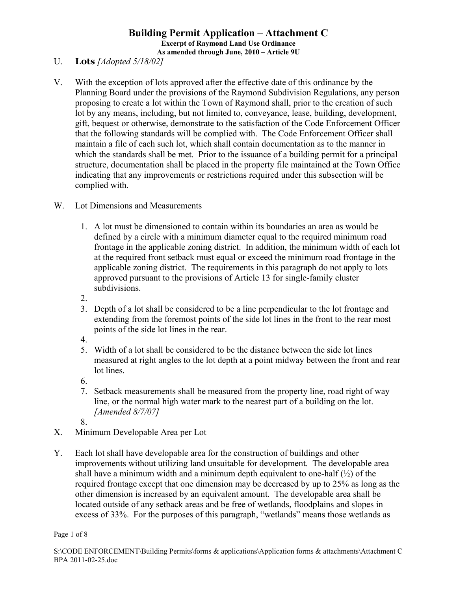- U. **Lots** *[Adopted 5/18/02]*
- V. With the exception of lots approved after the effective date of this ordinance by the Planning Board under the provisions of the Raymond Subdivision Regulations, any person proposing to create a lot within the Town of Raymond shall, prior to the creation of such lot by any means, including, but not limited to, conveyance, lease, building, development, gift, bequest or otherwise, demonstrate to the satisfaction of the Code Enforcement Officer that the following standards will be complied with. The Code Enforcement Officer shall maintain a file of each such lot, which shall contain documentation as to the manner in which the standards shall be met. Prior to the issuance of a building permit for a principal structure, documentation shall be placed in the property file maintained at the Town Office indicating that any improvements or restrictions required under this subsection will be complied with.
- W. Lot Dimensions and Measurements
	- 1. A lot must be dimensioned to contain within its boundaries an area as would be defined by a circle with a minimum diameter equal to the required minimum road frontage in the applicable zoning district. In addition, the minimum width of each lot at the required front setback must equal or exceed the minimum road frontage in the applicable zoning district. The requirements in this paragraph do not apply to lots approved pursuant to the provisions of Article 13 for single-family cluster subdivisions.
	- 2.
	- 3. Depth of a lot shall be considered to be a line perpendicular to the lot frontage and extending from the foremost points of the side lot lines in the front to the rear most points of the side lot lines in the rear.
	- 4.
	- 5. Width of a lot shall be considered to be the distance between the side lot lines measured at right angles to the lot depth at a point midway between the front and rear lot lines.
	- 6.
	- 7. Setback measurements shall be measured from the property line, road right of way line, or the normal high water mark to the nearest part of a building on the lot. *[Amended 8/7/07]*
	- 8.
- X. Minimum Developable Area per Lot
- Y. Each lot shall have developable area for the construction of buildings and other improvements without utilizing land unsuitable for development. The developable area shall have a minimum width and a minimum depth equivalent to one-half  $(\frac{1}{2})$  of the required frontage except that one dimension may be decreased by up to 25% as long as the other dimension is increased by an equivalent amount. The developable area shall be located outside of any setback areas and be free of wetlands, floodplains and slopes in excess of 33%. For the purposes of this paragraph, "wetlands" means those wetlands as

Page 1 of 8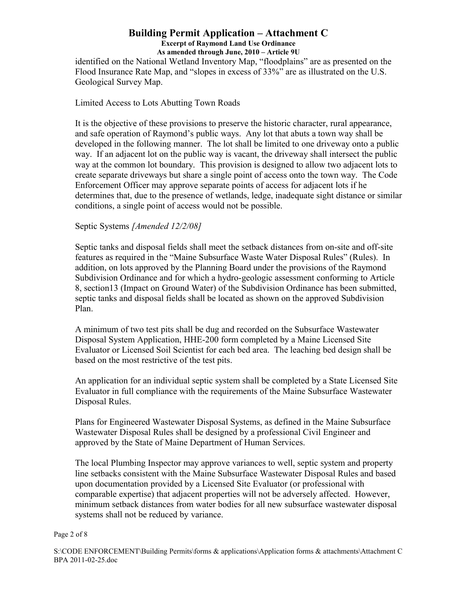identified on the National Wetland Inventory Map, "floodplains" are as presented on the Flood Insurance Rate Map, and "slopes in excess of 33%" are as illustrated on the U.S. Geological Survey Map.

## Limited Access to Lots Abutting Town Roads

It is the objective of these provisions to preserve the historic character, rural appearance, and safe operation of Raymond's public ways. Any lot that abuts a town way shall be developed in the following manner. The lot shall be limited to one driveway onto a public way. If an adjacent lot on the public way is vacant, the driveway shall intersect the public way at the common lot boundary. This provision is designed to allow two adjacent lots to create separate driveways but share a single point of access onto the town way. The Code Enforcement Officer may approve separate points of access for adjacent lots if he determines that, due to the presence of wetlands, ledge, inadequate sight distance or similar conditions, a single point of access would not be possible.

# Septic Systems *[Amended 12/2/08]*

Septic tanks and disposal fields shall meet the setback distances from on-site and off-site features as required in the "Maine Subsurface Waste Water Disposal Rules" (Rules). In addition, on lots approved by the Planning Board under the provisions of the Raymond Subdivision Ordinance and for which a hydro-geologic assessment conforming to Article 8, section13 (Impact on Ground Water) of the Subdivision Ordinance has been submitted, septic tanks and disposal fields shall be located as shown on the approved Subdivision Plan.

A minimum of two test pits shall be dug and recorded on the Subsurface Wastewater Disposal System Application, HHE-200 form completed by a Maine Licensed Site Evaluator or Licensed Soil Scientist for each bed area. The leaching bed design shall be based on the most restrictive of the test pits.

An application for an individual septic system shall be completed by a State Licensed Site Evaluator in full compliance with the requirements of the Maine Subsurface Wastewater Disposal Rules.

Plans for Engineered Wastewater Disposal Systems, as defined in the Maine Subsurface Wastewater Disposal Rules shall be designed by a professional Civil Engineer and approved by the State of Maine Department of Human Services.

The local Plumbing Inspector may approve variances to well, septic system and property line setbacks consistent with the Maine Subsurface Wastewater Disposal Rules and based upon documentation provided by a Licensed Site Evaluator (or professional with comparable expertise) that adjacent properties will not be adversely affected. However, minimum setback distances from water bodies for all new subsurface wastewater disposal systems shall not be reduced by variance.

#### Page 2 of 8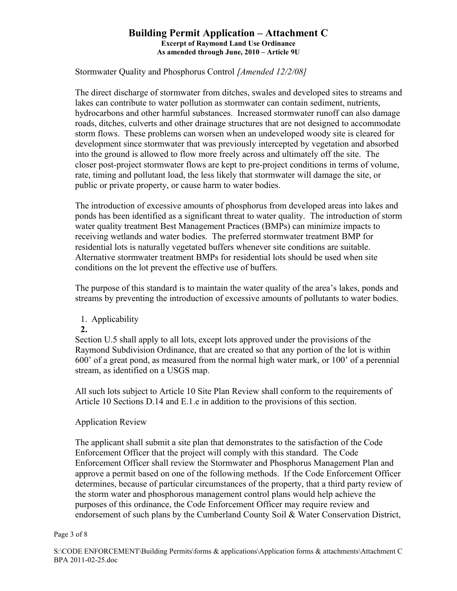Stormwater Quality and Phosphorus Control *[Amended 12/2/08]*

The direct discharge of stormwater from ditches, swales and developed sites to streams and lakes can contribute to water pollution as stormwater can contain sediment, nutrients, hydrocarbons and other harmful substances. Increased stormwater runoff can also damage roads, ditches, culverts and other drainage structures that are not designed to accommodate storm flows. These problems can worsen when an undeveloped woody site is cleared for development since stormwater that was previously intercepted by vegetation and absorbed into the ground is allowed to flow more freely across and ultimately off the site. The closer post-project stormwater flows are kept to pre-project conditions in terms of volume, rate, timing and pollutant load, the less likely that stormwater will damage the site, or public or private property, or cause harm to water bodies.

The introduction of excessive amounts of phosphorus from developed areas into lakes and ponds has been identified as a significant threat to water quality. The introduction of storm water quality treatment Best Management Practices (BMPs) can minimize impacts to receiving wetlands and water bodies. The preferred stormwater treatment BMP for residential lots is naturally vegetated buffers whenever site conditions are suitable. Alternative stormwater treatment BMPs for residential lots should be used when site conditions on the lot prevent the effective use of buffers.

The purpose of this standard is to maintain the water quality of the area's lakes, ponds and streams by preventing the introduction of excessive amounts of pollutants to water bodies.

1. Applicability

## **2.**

Section U.5 shall apply to all lots, except lots approved under the provisions of the Raymond Subdivision Ordinance, that are created so that any portion of the lot is within 600' of a great pond, as measured from the normal high water mark, or 100' of a perennial stream, as identified on a USGS map.

All such lots subject to Article 10 Site Plan Review shall conform to the requirements of Article 10 Sections D.14 and E.1.e in addition to the provisions of this section.

# Application Review

The applicant shall submit a site plan that demonstrates to the satisfaction of the Code Enforcement Officer that the project will comply with this standard. The Code Enforcement Officer shall review the Stormwater and Phosphorus Management Plan and approve a permit based on one of the following methods. If the Code Enforcement Officer determines, because of particular circumstances of the property, that a third party review of the storm water and phosphorous management control plans would help achieve the purposes of this ordinance, the Code Enforcement Officer may require review and endorsement of such plans by the Cumberland County Soil & Water Conservation District,

#### Page 3 of 8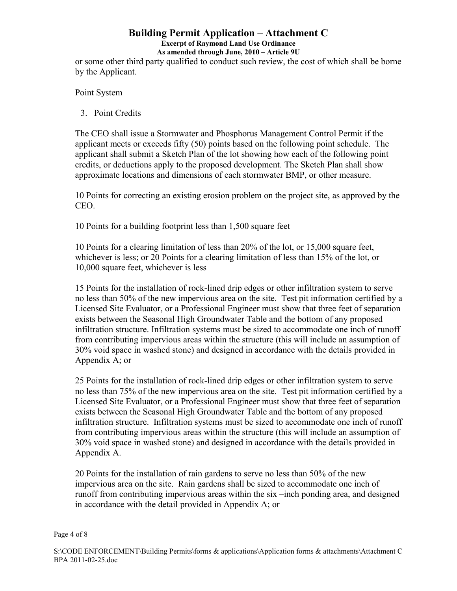# **Building Permit Application – Attachment C**

# **Excerpt of Raymond Land Use Ordinance**

**As amended through June, 2010 – Article 9U**

or some other third party qualified to conduct such review, the cost of which shall be borne by the Applicant.

Point System

3. Point Credits

The CEO shall issue a Stormwater and Phosphorus Management Control Permit if the applicant meets or exceeds fifty (50) points based on the following point schedule. The applicant shall submit a Sketch Plan of the lot showing how each of the following point credits, or deductions apply to the proposed development. The Sketch Plan shall show approximate locations and dimensions of each stormwater BMP, or other measure.

10 Points for correcting an existing erosion problem on the project site, as approved by the CEO.

10 Points for a building footprint less than 1,500 square feet

10 Points for a clearing limitation of less than 20% of the lot, or 15,000 square feet, whichever is less; or 20 Points for a clearing limitation of less than 15% of the lot, or 10,000 square feet, whichever is less

15 Points for the installation of rock-lined drip edges or other infiltration system to serve no less than 50% of the new impervious area on the site. Test pit information certified by a Licensed Site Evaluator, or a Professional Engineer must show that three feet of separation exists between the Seasonal High Groundwater Table and the bottom of any proposed infiltration structure. Infiltration systems must be sized to accommodate one inch of runoff from contributing impervious areas within the structure (this will include an assumption of 30% void space in washed stone) and designed in accordance with the details provided in Appendix A; or

25 Points for the installation of rock-lined drip edges or other infiltration system to serve no less than 75% of the new impervious area on the site. Test pit information certified by a Licensed Site Evaluator, or a Professional Engineer must show that three feet of separation exists between the Seasonal High Groundwater Table and the bottom of any proposed infiltration structure. Infiltration systems must be sized to accommodate one inch of runoff from contributing impervious areas within the structure (this will include an assumption of 30% void space in washed stone) and designed in accordance with the details provided in Appendix A.

20 Points for the installation of rain gardens to serve no less than 50% of the new impervious area on the site. Rain gardens shall be sized to accommodate one inch of runoff from contributing impervious areas within the six –inch ponding area, and designed in accordance with the detail provided in Appendix A; or

#### Page 4 of 8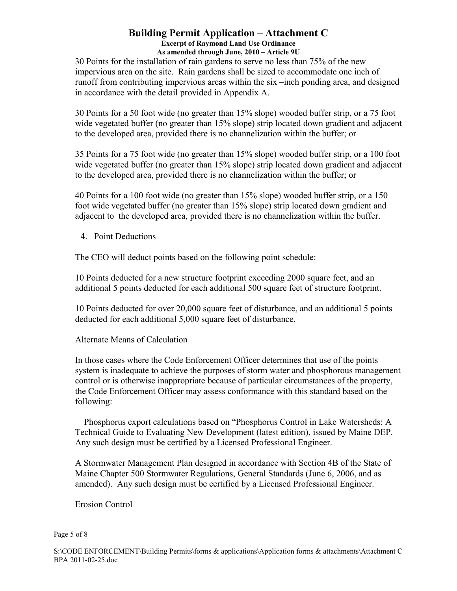30 Points for the installation of rain gardens to serve no less than 75% of the new impervious area on the site. Rain gardens shall be sized to accommodate one inch of runoff from contributing impervious areas within the six –inch ponding area, and designed in accordance with the detail provided in Appendix A.

30 Points for a 50 foot wide (no greater than 15% slope) wooded buffer strip, or a 75 foot wide vegetated buffer (no greater than 15% slope) strip located down gradient and adjacent to the developed area, provided there is no channelization within the buffer; or

35 Points for a 75 foot wide (no greater than 15% slope) wooded buffer strip, or a 100 foot wide vegetated buffer (no greater than 15% slope) strip located down gradient and adjacent to the developed area, provided there is no channelization within the buffer; or

40 Points for a 100 foot wide (no greater than 15% slope) wooded buffer strip, or a 150 foot wide vegetated buffer (no greater than 15% slope) strip located down gradient and adjacent to the developed area, provided there is no channelization within the buffer.

4. Point Deductions

The CEO will deduct points based on the following point schedule:

10 Points deducted for a new structure footprint exceeding 2000 square feet, and an additional 5 points deducted for each additional 500 square feet of structure footprint.

10 Points deducted for over 20,000 square feet of disturbance, and an additional 5 points deducted for each additional 5,000 square feet of disturbance.

Alternate Means of Calculation

In those cases where the Code Enforcement Officer determines that use of the points system is inadequate to achieve the purposes of storm water and phosphorous management control or is otherwise inappropriate because of particular circumstances of the property, the Code Enforcement Officer may assess conformance with this standard based on the following:

 Phosphorus export calculations based on "Phosphorus Control in Lake Watersheds: A Technical Guide to Evaluating New Development (latest edition), issued by Maine DEP. Any such design must be certified by a Licensed Professional Engineer.

A Stormwater Management Plan designed in accordance with Section 4B of the State of Maine Chapter 500 Stormwater Regulations, General Standards (June 6, 2006, and as amended). Any such design must be certified by a Licensed Professional Engineer.

Erosion Control

### Page 5 of 8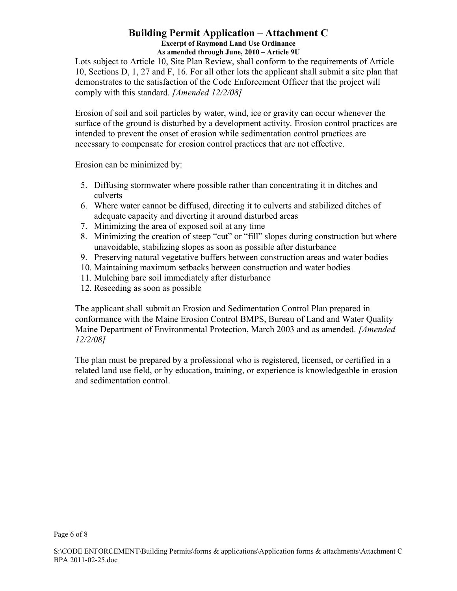Lots subject to Article 10, Site Plan Review, shall conform to the requirements of Article 10, Sections D, 1, 27 and F, 16. For all other lots the applicant shall submit a site plan that demonstrates to the satisfaction of the Code Enforcement Officer that the project will comply with this standard. *[Amended 12/2/08]*

Erosion of soil and soil particles by water, wind, ice or gravity can occur whenever the surface of the ground is disturbed by a development activity. Erosion control practices are intended to prevent the onset of erosion while sedimentation control practices are necessary to compensate for erosion control practices that are not effective.

Erosion can be minimized by:

- 5. Diffusing stormwater where possible rather than concentrating it in ditches and culverts
- 6. Where water cannot be diffused, directing it to culverts and stabilized ditches of adequate capacity and diverting it around disturbed areas
- 7. Minimizing the area of exposed soil at any time
- 8. Minimizing the creation of steep "cut" or "fill" slopes during construction but where unavoidable, stabilizing slopes as soon as possible after disturbance
- 9. Preserving natural vegetative buffers between construction areas and water bodies
- 10. Maintaining maximum setbacks between construction and water bodies
- 11. Mulching bare soil immediately after disturbance
- 12. Reseeding as soon as possible

The applicant shall submit an Erosion and Sedimentation Control Plan prepared in conformance with the Maine Erosion Control BMPS, Bureau of Land and Water Quality Maine Department of Environmental Protection, March 2003 and as amended. *[Amended 12/2/08]*

The plan must be prepared by a professional who is registered, licensed, or certified in a related land use field, or by education, training, or experience is knowledgeable in erosion and sedimentation control.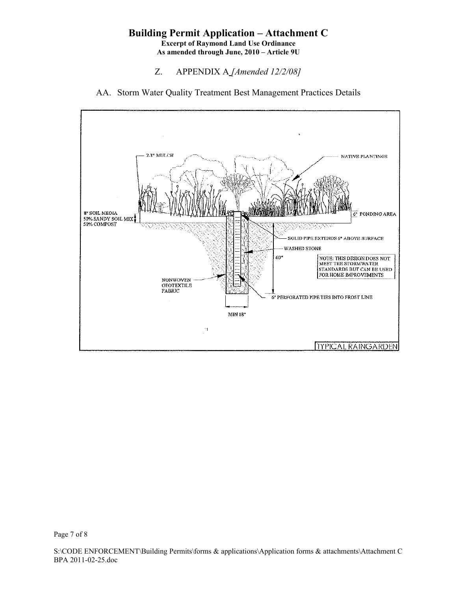- Z. APPENDIX A *[Amended 12/2/08]*
- AA. Storm Water Quality Treatment Best Management Practices Details